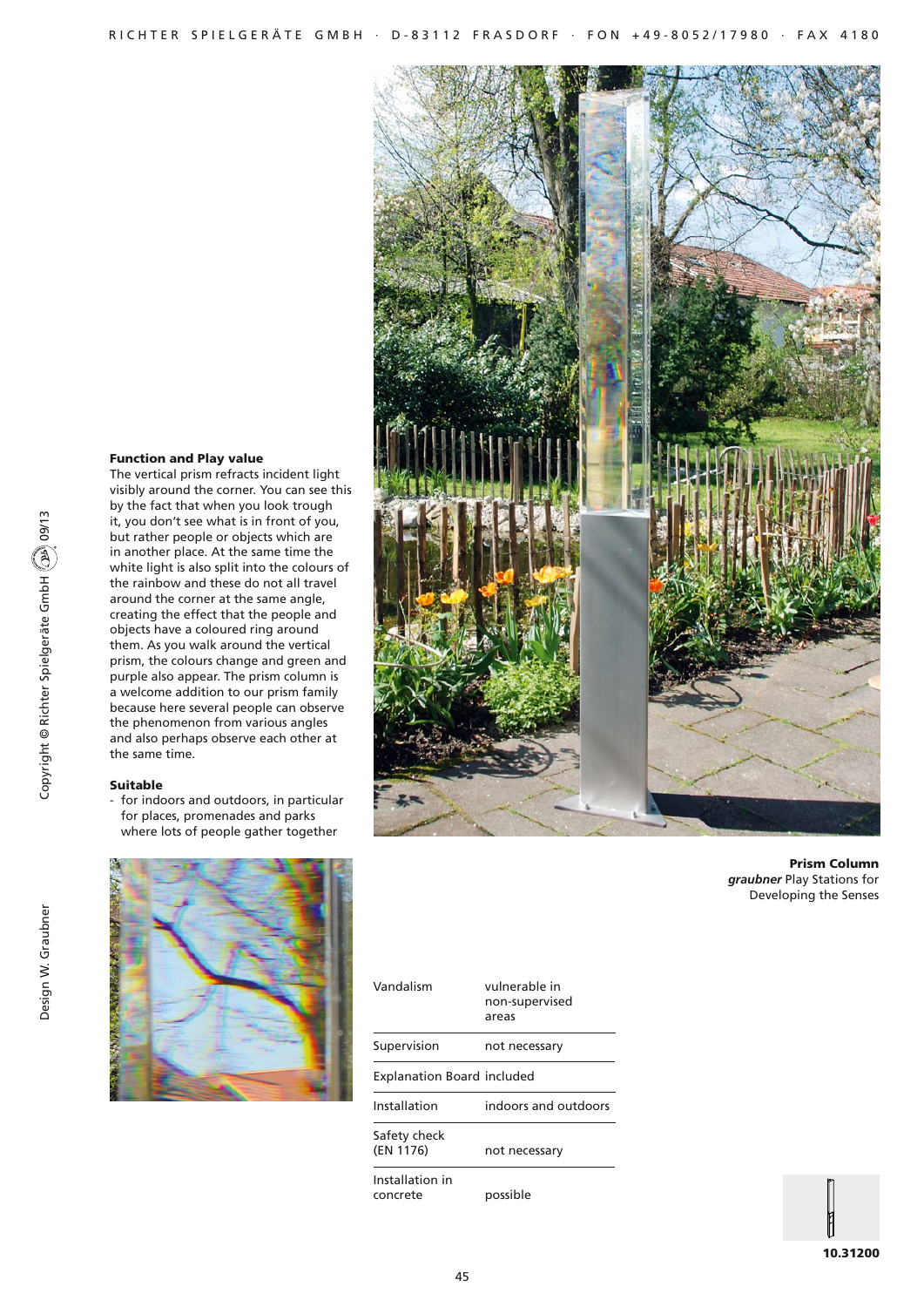## Function and Play value

The vertical prism refracts incident light visibly around the corner. You can see this by the fact that when you look trough it, you don't see what is in front of you, but rather people or objects which are in another place. At the same time the white light is also split into the colours of the rainbow and these do not all travel around the corner at the same angle, creating the effect that the people and objects have a coloured ring around them. As you walk around the vertical prism, the colours change and green and purple also appear. The prism column is a welcome addition to our prism family because here several people can observe the phenomenon from various angles and also perhaps observe each other at the same time.

### Suitable

- for indoors and outdoors, in particular for places, promenades and parks where lots of people gather together





Prism Column *graubner* Play Stations for Developing the Senses

|  | Vandalism                         | vulnerable in<br>non-supervised<br>areas |
|--|-----------------------------------|------------------------------------------|
|  | Supervision                       | not necessary                            |
|  | <b>Explanation Board included</b> |                                          |
|  | Installation                      | indoors and outdoors                     |
|  | Safety check<br>(EN 1176)         | not necessary                            |
|  | Installation in<br>concrete       | possible                                 |

Copyright © Richter Spielgeräte GmbH 09/13

Copyright © Richter Spielgeräte GmbH (29) 09/13

10.31200